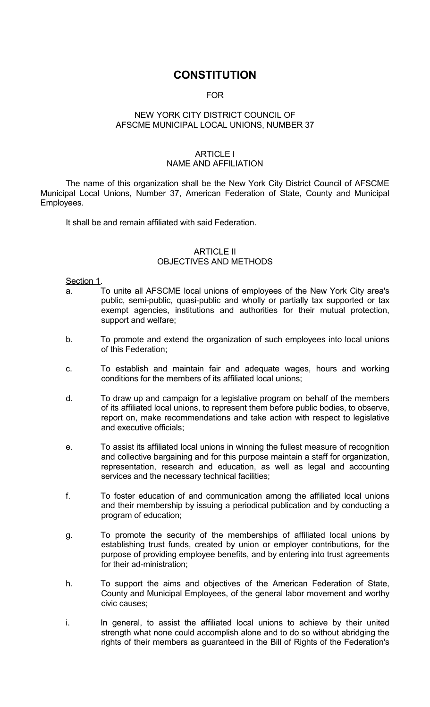## **CONSTITUTION**

## **FOR**

### NEW YORK CITY DISTRICT COUNCIL OF AFSCME MUNICIPAL LOCAL UNIONS, NUMBER 37

#### ARTICLE I NAME AND AFFILIATION

 The name of this organization shall be the New York City District Council of AFSCME Municipal Local Unions, Number 37, American Federation of State, County and Municipal Employees.

It shall be and remain affiliated with said Federation.

## ARTICLE II OBJECTIVES AND METHODS

Section 1.

- a. To unite all AFSCME local unions of employees of the New York City area's public, semi-public, quasi-public and wholly or partially tax supported or tax exempt agencies, institutions and authorities for their mutual protection, support and welfare;
- b. To promote and extend the organization of such employees into local unions of this Federation;
- c. To establish and maintain fair and adequate wages, hours and working conditions for the members of its affiliated local unions;
- d. To draw up and campaign for a legislative program on behalf of the members of its affiliated local unions, to represent them before public bodies, to observe, report on, make recommendations and take action with respect to legislative and executive officials;
- e. To assist its affiliated local unions in winning the fullest measure of recognition and collective bargaining and for this purpose maintain a staff for organization, representation, research and education, as well as legal and accounting services and the necessary technical facilities;
- f. To foster education of and communication among the affiliated local unions and their membership by issuing a periodical publication and by conducting a program of education;
- g. To promote the security of the memberships of affiliated local unions by establishing trust funds, created by union or employer contributions, for the purpose of providing employee benefits, and by entering into trust agreements for their ad-ministration;
- h. To support the aims and objectives of the American Federation of State, County and Municipal Employees, of the general labor movement and worthy civic causes;
- i. In general, to assist the affiliated local unions to achieve by their united strength what none could accomplish alone and to do so without abridging the rights of their members as guaranteed in the Bill of Rights of the Federation's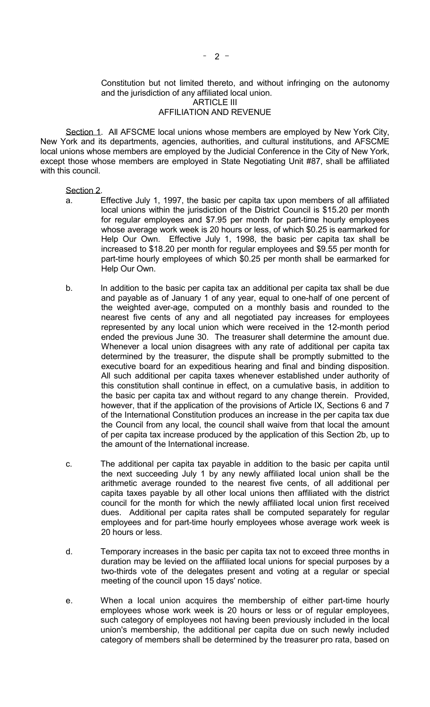#### and the jurisdiction of any affiliated local union. ARTICLE III AFFILIATION AND REVENUE

 Section 1. All AFSCME local unions whose members are employed by New York City, New York and its departments, agencies, authorities, and cultural institutions, and AFSCME local unions whose members are employed by the Judicial Conference in the City of New York, except those whose members are employed in State Negotiating Unit #87, shall be affiliated with this council.

## Section 2.

- a. Effective July 1, 1997, the basic per capita tax upon members of all affiliated local unions within the jurisdiction of the District Council is \$15.20 per month for regular employees and \$7.95 per month for part-time hourly employees whose average work week is 20 hours or less, of which \$0.25 is earmarked for Help Our Own. Effective July 1, 1998, the basic per capita tax shall be increased to \$18.20 per month for regular employees and \$9.55 per month for part-time hourly employees of which \$0.25 per month shall be earmarked for Help Our Own.
- b. In addition to the basic per capita tax an additional per capita tax shall be due and payable as of January 1 of any year, equal to one-half of one percent of the weighted aver-age, computed on a monthly basis and rounded to the nearest five cents of any and all negotiated pay increases for employees represented by any local union which were received in the 12-month period ended the previous June 30. The treasurer shall determine the amount due. Whenever a local union disagrees with any rate of additional per capita tax determined by the treasurer, the dispute shall be promptly submitted to the executive board for an expeditious hearing and final and binding disposition. All such additional per capita taxes whenever established under authority of this constitution shall continue in effect, on a cumulative basis, in addition to the basic per capita tax and without regard to any change therein. Provided, however, that if the application of the provisions of Article IX, Sections 6 and 7 of the International Constitution produces an increase in the per capita tax due the Council from any local, the council shall waive from that local the amount of per capita tax increase produced by the application of this Section 2b, up to the amount of the International increase.
- c. The additional per capita tax payable in addition to the basic per capita until the next succeeding July 1 by any newly affiliated local union shall be the arithmetic average rounded to the nearest five cents, of all additional per capita taxes payable by all other local unions then affiliated with the district council for the month for which the newly affiliated local union first received dues. Additional per capita rates shall be computed separately for regular employees and for part-time hourly employees whose average work week is 20 hours or less.
- d. Temporary increases in the basic per capita tax not to exceed three months in duration may be levied on the affiliated local unions for special purposes by a two-thirds vote of the delegates present and voting at a regular or special meeting of the council upon 15 days' notice.
- e. When a local union acquires the membership of either part-time hourly employees whose work week is 20 hours or less or of regular employees, such category of employees not having been previously included in the local union's membership, the additional per capita due on such newly included category of members shall be determined by the treasurer pro rata, based on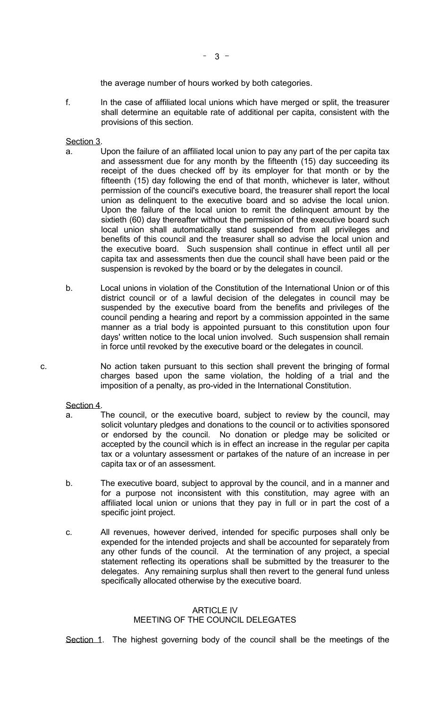the average number of hours worked by both categories.

 f. In the case of affiliated local unions which have merged or split, the treasurer shall determine an equitable rate of additional per capita, consistent with the provisions of this section.

Section 3.

- a. Upon the failure of an affiliated local union to pay any part of the per capita tax and assessment due for any month by the fifteenth (15) day succeeding its receipt of the dues checked off by its employer for that month or by the fifteenth (15) day following the end of that month, whichever is later, without permission of the council's executive board, the treasurer shall report the local union as delinquent to the executive board and so advise the local union. Upon the failure of the local union to remit the delinquent amount by the sixtieth (60) day thereafter without the permission of the executive board such local union shall automatically stand suspended from all privileges and benefits of this council and the treasurer shall so advise the local union and the executive board. Such suspension shall continue in effect until all per capita tax and assessments then due the council shall have been paid or the suspension is revoked by the board or by the delegates in council.
- b. Local unions in violation of the Constitution of the International Union or of this district council or of a lawful decision of the delegates in council may be suspended by the executive board from the benefits and privileges of the council pending a hearing and report by a commission appointed in the same manner as a trial body is appointed pursuant to this constitution upon four days' written notice to the local union involved. Such suspension shall remain in force until revoked by the executive board or the delegates in council.
- c. No action taken pursuant to this section shall prevent the bringing of formal charges based upon the same violation, the holding of a trial and the imposition of a penalty, as pro-vided in the International Constitution.

Section 4.

- a. The council, or the executive board, subject to review by the council, may solicit voluntary pledges and donations to the council or to activities sponsored or endorsed by the council. No donation or pledge may be solicited or accepted by the council which is in effect an increase in the regular per capita tax or a voluntary assessment or partakes of the nature of an increase in per capita tax or of an assessment.
- b. The executive board, subject to approval by the council, and in a manner and for a purpose not inconsistent with this constitution, may agree with an affiliated local union or unions that they pay in full or in part the cost of a specific joint project.
- c. All revenues, however derived, intended for specific purposes shall only be expended for the intended projects and shall be accounted for separately from any other funds of the council. At the termination of any project, a special statement reflecting its operations shall be submitted by the treasurer to the delegates. Any remaining surplus shall then revert to the general fund unless specifically allocated otherwise by the executive board.

#### ARTICLE IV MEETING OF THE COUNCIL DELEGATES

Section 1. The highest governing body of the council shall be the meetings of the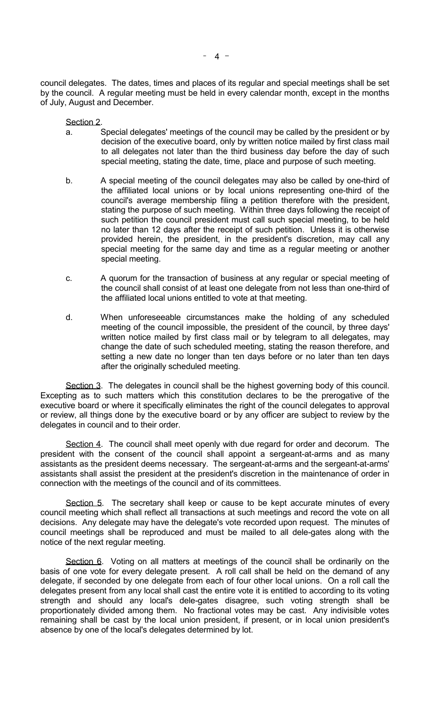council delegates. The dates, times and places of its regular and special meetings shall be set by the council. A regular meeting must be held in every calendar month, except in the months of July, August and December.

Section 2.

- a. Special delegates' meetings of the council may be called by the president or by decision of the executive board, only by written notice mailed by first class mail to all delegates not later than the third business day before the day of such special meeting, stating the date, time, place and purpose of such meeting.
- b. A special meeting of the council delegates may also be called by one-third of the affiliated local unions or by local unions representing one-third of the council's average membership filing a petition therefore with the president, stating the purpose of such meeting. Within three days following the receipt of such petition the council president must call such special meeting, to be held no later than 12 days after the receipt of such petition. Unless it is otherwise provided herein, the president, in the president's discretion, may call any special meeting for the same day and time as a regular meeting or another special meeting.
- c. A quorum for the transaction of business at any regular or special meeting of the council shall consist of at least one delegate from not less than one-third of the affiliated local unions entitled to vote at that meeting.
- d. When unforeseeable circumstances make the holding of any scheduled meeting of the council impossible, the president of the council, by three days' written notice mailed by first class mail or by telegram to all delegates, may change the date of such scheduled meeting, stating the reason therefore, and setting a new date no longer than ten days before or no later than ten days after the originally scheduled meeting.

Section 3. The delegates in council shall be the highest governing body of this council. Excepting as to such matters which this constitution declares to be the prerogative of the executive board or where it specifically eliminates the right of the council delegates to approval or review, all things done by the executive board or by any officer are subject to review by the delegates in council and to their order.

Section 4. The council shall meet openly with due regard for order and decorum. The president with the consent of the council shall appoint a sergeant-at-arms and as many assistants as the president deems necessary. The sergeant-at-arms and the sergeant-at-arms' assistants shall assist the president at the president's discretion in the maintenance of order in connection with the meetings of the council and of its committees.

Section 5. The secretary shall keep or cause to be kept accurate minutes of every council meeting which shall reflect all transactions at such meetings and record the vote on all decisions. Any delegate may have the delegate's vote recorded upon request. The minutes of council meetings shall be reproduced and must be mailed to all dele-gates along with the notice of the next regular meeting.

Section 6. Voting on all matters at meetings of the council shall be ordinarily on the basis of one vote for every delegate present. A roll call shall be held on the demand of any delegate, if seconded by one delegate from each of four other local unions. On a roll call the delegates present from any local shall cast the entire vote it is entitled to according to its voting strength and should any local's dele-gates disagree, such voting strength shall be proportionately divided among them. No fractional votes may be cast. Any indivisible votes remaining shall be cast by the local union president, if present, or in local union president's absence by one of the local's delegates determined by lot.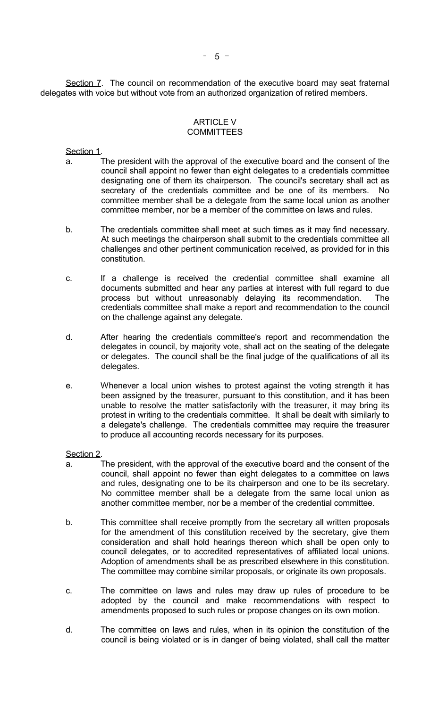Section 7. The council on recommendation of the executive board may seat fraternal delegates with voice but without vote from an authorized organization of retired members.

#### ARTICLE V **COMMITTEES**

Section 1.

- a. The president with the approval of the executive board and the consent of the council shall appoint no fewer than eight delegates to a credentials committee designating one of them its chairperson. The council's secretary shall act as secretary of the credentials committee and be one of its members. No committee member shall be a delegate from the same local union as another committee member, nor be a member of the committee on laws and rules.
- b. The credentials committee shall meet at such times as it may find necessary. At such meetings the chairperson shall submit to the credentials committee all challenges and other pertinent communication received, as provided for in this constitution.
- c. If a challenge is received the credential committee shall examine all documents submitted and hear any parties at interest with full regard to due process but without unreasonably delaying its recommendation. The credentials committee shall make a report and recommendation to the council on the challenge against any delegate.
- d. After hearing the credentials committee's report and recommendation the delegates in council, by majority vote, shall act on the seating of the delegate or delegates. The council shall be the final judge of the qualifications of all its delegates.
- e. Whenever a local union wishes to protest against the voting strength it has been assigned by the treasurer, pursuant to this constitution, and it has been unable to resolve the matter satisfactorily with the treasurer, it may bring its protest in writing to the credentials committee. It shall be dealt with similarly to a delegate's challenge. The credentials committee may require the treasurer to produce all accounting records necessary for its purposes.

Section 2.

- a. The president, with the approval of the executive board and the consent of the council, shall appoint no fewer than eight delegates to a committee on laws and rules, designating one to be its chairperson and one to be its secretary. No committee member shall be a delegate from the same local union as another committee member, nor be a member of the credential committee.
- b. This committee shall receive promptly from the secretary all written proposals for the amendment of this constitution received by the secretary, give them consideration and shall hold hearings thereon which shall be open only to council delegates, or to accredited representatives of affiliated local unions. Adoption of amendments shall be as prescribed elsewhere in this constitution. The committee may combine similar proposals, or originate its own proposals.
- c. The committee on laws and rules may draw up rules of procedure to be adopted by the council and make recommendations with respect to amendments proposed to such rules or propose changes on its own motion.
- d. The committee on laws and rules, when in its opinion the constitution of the council is being violated or is in danger of being violated, shall call the matter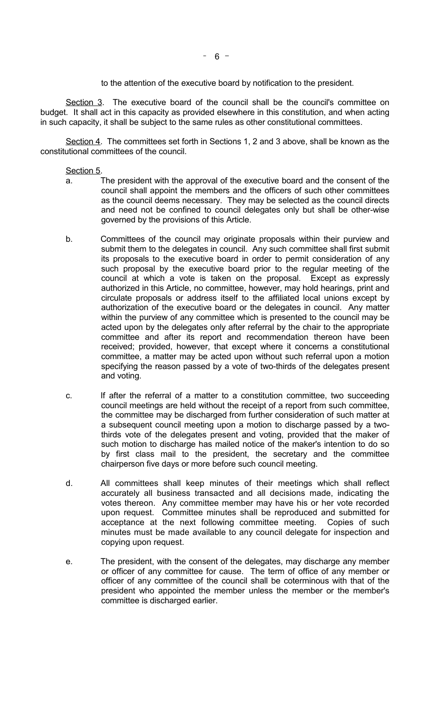to the attention of the executive board by notification to the president.

Section 3. The executive board of the council shall be the council's committee on budget. It shall act in this capacity as provided elsewhere in this constitution, and when acting in such capacity, it shall be subject to the same rules as other constitutional committees.

Section 4. The committees set forth in Sections 1, 2 and 3 above, shall be known as the constitutional committees of the council.

#### Section 5.

- a. The president with the approval of the executive board and the consent of the council shall appoint the members and the officers of such other committees as the council deems necessary. They may be selected as the council directs and need not be confined to council delegates only but shall be other-wise governed by the provisions of this Article.
- b. Committees of the council may originate proposals within their purview and submit them to the delegates in council. Any such committee shall first submit its proposals to the executive board in order to permit consideration of any such proposal by the executive board prior to the regular meeting of the council at which a vote is taken on the proposal. Except as expressly authorized in this Article, no committee, however, may hold hearings, print and circulate proposals or address itself to the affiliated local unions except by authorization of the executive board or the delegates in council. Any matter within the purview of any committee which is presented to the council may be acted upon by the delegates only after referral by the chair to the appropriate committee and after its report and recommendation thereon have been received; provided, however, that except where it concerns a constitutional committee, a matter may be acted upon without such referral upon a motion specifying the reason passed by a vote of two-thirds of the delegates present and voting.
- c. If after the referral of a matter to a constitution committee, two succeeding council meetings are held without the receipt of a report from such committee, the committee may be discharged from further consideration of such matter at a subsequent council meeting upon a motion to discharge passed by a twothirds vote of the delegates present and voting, provided that the maker of such motion to discharge has mailed notice of the maker's intention to do so by first class mail to the president, the secretary and the committee chairperson five days or more before such council meeting.
- d. All committees shall keep minutes of their meetings which shall reflect accurately all business transacted and all decisions made, indicating the votes thereon. Any committee member may have his or her vote recorded upon request. Committee minutes shall be reproduced and submitted for acceptance at the next following committee meeting. Copies of such minutes must be made available to any council delegate for inspection and copying upon request.
- e. The president, with the consent of the delegates, may discharge any member or officer of any committee for cause. The term of office of any member or officer of any committee of the council shall be coterminous with that of the president who appointed the member unless the member or the member's committee is discharged earlier.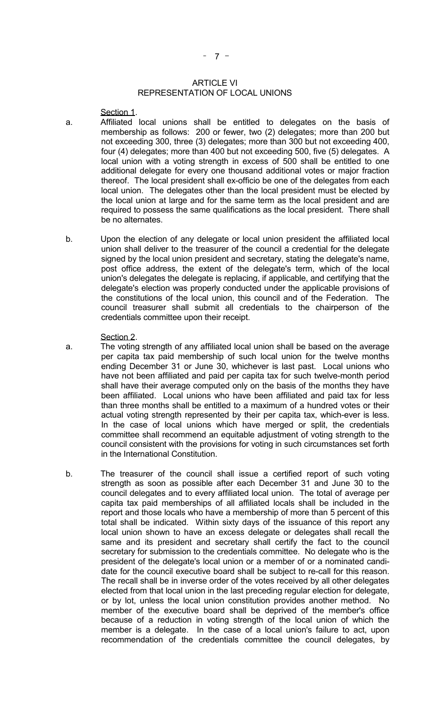#### ARTICLE VI REPRESENTATION OF LOCAL UNIONS

Section 1.

- a. Affiliated local unions shall be entitled to delegates on the basis of membership as follows: 200 or fewer, two (2) delegates; more than 200 but not exceeding 300, three (3) delegates; more than 300 but not exceeding 400, four (4) delegates; more than 400 but not exceeding 500, five (5) delegates. A local union with a voting strength in excess of 500 shall be entitled to one additional delegate for every one thousand additional votes or major fraction thereof. The local president shall ex-officio be one of the delegates from each local union. The delegates other than the local president must be elected by the local union at large and for the same term as the local president and are required to possess the same qualifications as the local president. There shall be no alternates.
- b. Upon the election of any delegate or local union president the affiliated local union shall deliver to the treasurer of the council a credential for the delegate signed by the local union president and secretary, stating the delegate's name, post office address, the extent of the delegate's term, which of the local union's delegates the delegate is replacing, if applicable, and certifying that the delegate's election was properly conducted under the applicable provisions of the constitutions of the local union, this council and of the Federation. The council treasurer shall submit all credentials to the chairperson of the credentials committee upon their receipt.

#### Section 2.

- a. The voting strength of any affiliated local union shall be based on the average per capita tax paid membership of such local union for the twelve months ending December 31 or June 30, whichever is last past. Local unions who have not been affiliated and paid per capita tax for such twelve-month period shall have their average computed only on the basis of the months they have been affiliated. Local unions who have been affiliated and paid tax for less than three months shall be entitled to a maximum of a hundred votes or their actual voting strength represented by their per capita tax, which-ever is less. In the case of local unions which have merged or split, the credentials committee shall recommend an equitable adjustment of voting strength to the council consistent with the provisions for voting in such circumstances set forth in the International Constitution.
- b. The treasurer of the council shall issue a certified report of such voting strength as soon as possible after each December 31 and June 30 to the council delegates and to every affiliated local union. The total of average per capita tax paid memberships of all affiliated locals shall be included in the report and those locals who have a membership of more than 5 percent of this total shall be indicated. Within sixty days of the issuance of this report any local union shown to have an excess delegate or delegates shall recall the same and its president and secretary shall certify the fact to the council secretary for submission to the credentials committee. No delegate who is the president of the delegate's local union or a member of or a nominated candidate for the council executive board shall be subject to re-call for this reason. The recall shall be in inverse order of the votes received by all other delegates elected from that local union in the last preceding regular election for delegate, or by lot, unless the local union constitution provides another method. No member of the executive board shall be deprived of the member's office because of a reduction in voting strength of the local union of which the member is a delegate. In the case of a local union's failure to act, upon recommendation of the credentials committee the council delegates, by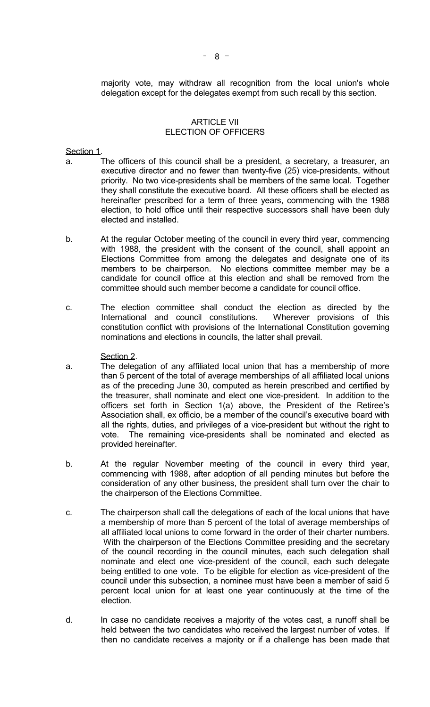majority vote, may withdraw all recognition from the local union's whole delegation except for the delegates exempt from such recall by this section.

#### ARTICLE VII ELECTION OF OFFICERS

Section 1.

- a. The officers of this council shall be a president, a secretary, a treasurer, an executive director and no fewer than twenty-five (25) vice-presidents, without priority. No two vice-presidents shall be members of the same local. Together they shall constitute the executive board. All these officers shall be elected as hereinafter prescribed for a term of three years, commencing with the 1988 election, to hold office until their respective successors shall have been duly elected and installed.
- b. At the regular October meeting of the council in every third year, commencing with 1988, the president with the consent of the council, shall appoint an Elections Committee from among the delegates and designate one of its members to be chairperson. No elections committee member may be a candidate for council office at this election and shall be removed from the committee should such member become a candidate for council office.
- c. The election committee shall conduct the election as directed by the International and council constitutions. Wherever provisions of this constitution conflict with provisions of the International Constitution governing nominations and elections in councils, the latter shall prevail.

#### Section 2.

- a. The delegation of any affiliated local union that has a membership of more than 5 percent of the total of average memberships of all affiliated local unions as of the preceding June 30, computed as herein prescribed and certified by the treasurer, shall nominate and elect one vice-president. In addition to the officers set forth in Section 1(a) above, the President of the Retiree's Association shall, ex officio, be a member of the council's executive board with all the rights, duties, and privileges of a vice-president but without the right to vote. The remaining vice-presidents shall be nominated and elected as provided hereinafter.
- b. At the regular November meeting of the council in every third year, commencing with 1988, after adoption of all pending minutes but before the consideration of any other business, the president shall turn over the chair to the chairperson of the Elections Committee.
- c. The chairperson shall call the delegations of each of the local unions that have a membership of more than 5 percent of the total of average memberships of all affiliated local unions to come forward in the order of their charter numbers. With the chairperson of the Elections Committee presiding and the secretary of the council recording in the council minutes, each such delegation shall nominate and elect one vice-president of the council, each such delegate being entitled to one vote. To be eligible for election as vice-president of the council under this subsection, a nominee must have been a member of said 5 percent local union for at least one year continuously at the time of the election.
- d. In case no candidate receives a majority of the votes cast, a runoff shall be held between the two candidates who received the largest number of votes. If then no candidate receives a majority or if a challenge has been made that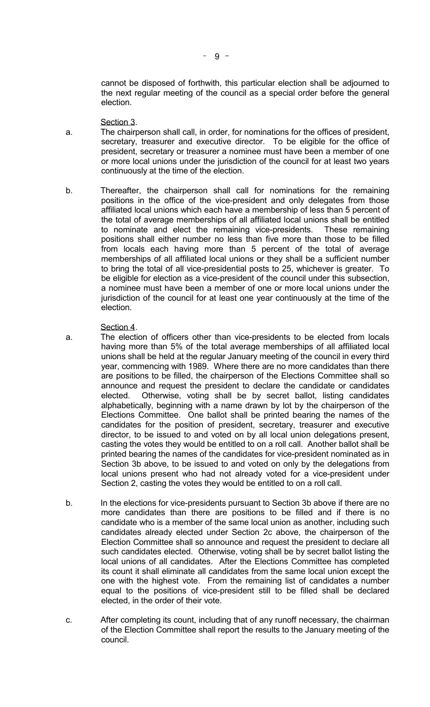cannot be disposed of forthwith, this particular election shall be adjourned to the next regular meeting of the council as a special order before the general election.

Section 3.

- a. The chairperson shall call, in order, for nominations for the offices of president, secretary, treasurer and executive director. To be eligible for the office of president, secretary or treasurer a nominee must have been a member of one or more local unions under the jurisdiction of the council for at least two years continuously at the time of the election.
- b. Thereafter, the chairperson shall call for nominations for the remaining positions in the office of the vice-president and only delegates from those affiliated local unions which each have a membership of less than 5 percent of the total of average memberships of all affiliated local unions shall be entitled to nominate and elect the remaining vice-presidents. These remaining positions shall either number no less than five more than those to be filled from locals each having more than 5 percent of the total of average memberships of all affiliated local unions or they shall be a sufficient number to bring the total of all vice-presidential posts to 25, whichever is greater. To be eligible for election as a vice-president of the council under this subsection, a nominee must have been a member of one or more local unions under the jurisdiction of the council for at least one year continuously at the time of the election.

#### Section 4.

- a. The election of officers other than vice-presidents to be elected from locals having more than 5% of the total average memberships of all affiliated local unions shall be held at the regular January meeting of the council in every third year, commencing with 1989. Where there are no more candidates than there are positions to be filled, the chairperson of the Elections Committee shall so announce and request the president to declare the candidate or candidates elected. Otherwise, voting shall be by secret ballot, listing candidates alphabetically, beginning with a name drawn by lot by the chairperson of the Elections Committee. One ballot shall be printed bearing the names of the candidates for the position of president, secretary, treasurer and executive director, to be issued to and voted on by all local union delegations present, casting the votes they would be entitled to on a roll call. Another ballot shall be printed bearing the names of the candidates for vice-president nominated as in Section 3b above, to be issued to and voted on only by the delegations from local unions present who had not already voted for a vice-president under Section 2, casting the votes they would be entitled to on a roll call.
- b. In the elections for vice-presidents pursuant to Section 3b above if there are no more candidates than there are positions to be filled and if there is no candidate who is a member of the same local union as another, including such candidates already elected under Section 2c above, the chairperson of the Election Committee shall so announce and request the president to declare all such candidates elected. Otherwise, voting shall be by secret ballot listing the local unions of all candidates. After the Elections Committee has completed its count it shall eliminate all candidates from the same local union except the one with the highest vote. From the remaining list of candidates a number equal to the positions of vice-president still to be filled shall be declared elected, in the order of their vote.
- c. After completing its count, including that of any runoff necessary, the chairman of the Election Committee shall report the results to the January meeting of the council.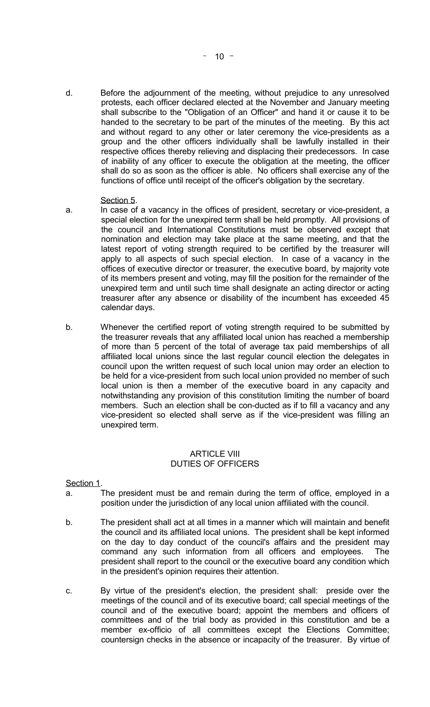d. Before the adjournment of the meeting, without prejudice to any unresolved protests, each officer declared elected at the November and January meeting shall subscribe to the "Obligation of an Officer" and hand it or cause it to be handed to the secretary to be part of the minutes of the meeting. By this act and without regard to any other or later ceremony the vice-presidents as a group and the other officers individually shall be lawfully installed in their respective offices thereby relieving and displacing their predecessors. In case of inability of any officer to execute the obligation at the meeting, the officer shall do so as soon as the officer is able. No officers shall exercise any of the functions of office until receipt of the officer's obligation by the secretary.

#### Section 5.

- a. In case of a vacancy in the offices of president, secretary or vice-president, a special election for the unexpired term shall be held promptly. All provisions of the council and International Constitutions must be observed except that nomination and election may take place at the same meeting, and that the latest report of voting strength required to be certified by the treasurer will apply to all aspects of such special election. In case of a vacancy in the offices of executive director or treasurer, the executive board, by majority vote of its members present and voting, may fill the position for the remainder of the unexpired term and until such time shall designate an acting director or acting treasurer after any absence or disability of the incumbent has exceeded 45 calendar days.
- b. Whenever the certified report of voting strength required to be submitted by the treasurer reveals that any affiliated local union has reached a membership of more than 5 percent of the total of average tax paid memberships of all affiliated local unions since the last regular council election the delegates in council upon the written request of such local union may order an election to be held for a vice-president from such local union provided no member of such local union is then a member of the executive board in any capacity and notwithstanding any provision of this constitution limiting the number of board members. Such an election shall be con-ducted as if to fill a vacancy and any vice-president so elected shall serve as if the vice-president was filling an unexpired term.

#### ARTICLE VIII DUTIES OF OFFICERS

Section 1.

- a. The president must be and remain during the term of office, employed in a position under the jurisdiction of any local union affiliated with the council.
- b. The president shall act at all times in a manner which will maintain and benefit the council and its affiliated local unions. The president shall be kept informed on the day to day conduct of the council's affairs and the president may command any such information from all officers and employees. The president shall report to the council or the executive board any condition which in the president's opinion requires their attention.
- c. By virtue of the president's election, the president shall: preside over the meetings of the council and of its executive board; call special meetings of the council and of the executive board; appoint the members and officers of committees and of the trial body as provided in this constitution and be a member ex-officio of all committees except the Elections Committee; countersign checks in the absence or incapacity of the treasurer. By virtue of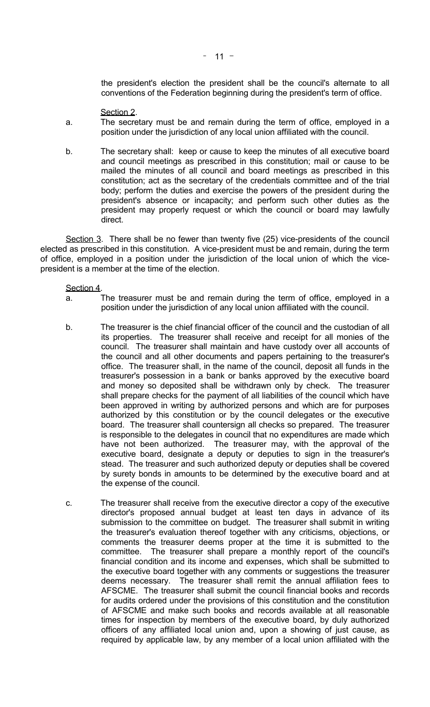the president's election the president shall be the council's alternate to all conventions of the Federation beginning during the president's term of office.

- Section 2.
- a. The secretary must be and remain during the term of office, employed in a position under the jurisdiction of any local union affiliated with the council.
- b. The secretary shall: keep or cause to keep the minutes of all executive board and council meetings as prescribed in this constitution; mail or cause to be mailed the minutes of all council and board meetings as prescribed in this constitution; act as the secretary of the credentials committee and of the trial body; perform the duties and exercise the powers of the president during the president's absence or incapacity; and perform such other duties as the president may properly request or which the council or board may lawfully direct.

 Section 3. There shall be no fewer than twenty five (25) vice-presidents of the council elected as prescribed in this constitution. A vice-president must be and remain, during the term of office, employed in a position under the jurisdiction of the local union of which the vicepresident is a member at the time of the election.

#### Section 4.

- a. The treasurer must be and remain during the term of office, employed in a position under the jurisdiction of any local union affiliated with the council.
- b. The treasurer is the chief financial officer of the council and the custodian of all its properties. The treasurer shall receive and receipt for all monies of the council. The treasurer shall maintain and have custody over all accounts of the council and all other documents and papers pertaining to the treasurer's office. The treasurer shall, in the name of the council, deposit all funds in the treasurer's possession in a bank or banks approved by the executive board and money so deposited shall be withdrawn only by check. The treasurer shall prepare checks for the payment of all liabilities of the council which have been approved in writing by authorized persons and which are for purposes authorized by this constitution or by the council delegates or the executive board. The treasurer shall countersign all checks so prepared. The treasurer is responsible to the delegates in council that no expenditures are made which have not been authorized. The treasurer may, with the approval of the executive board, designate a deputy or deputies to sign in the treasurer's stead. The treasurer and such authorized deputy or deputies shall be covered by surety bonds in amounts to be determined by the executive board and at the expense of the council.
- c. The treasurer shall receive from the executive director a copy of the executive director's proposed annual budget at least ten days in advance of its submission to the committee on budget. The treasurer shall submit in writing the treasurer's evaluation thereof together with any criticisms, objections, or comments the treasurer deems proper at the time it is submitted to the committee. The treasurer shall prepare a monthly report of the council's financial condition and its income and expenses, which shall be submitted to the executive board together with any comments or suggestions the treasurer deems necessary. The treasurer shall remit the annual affiliation fees to AFSCME. The treasurer shall submit the council financial books and records for audits ordered under the provisions of this constitution and the constitution of AFSCME and make such books and records available at all reasonable times for inspection by members of the executive board, by duly authorized officers of any affiliated local union and, upon a showing of just cause, as required by applicable law, by any member of a local union affiliated with the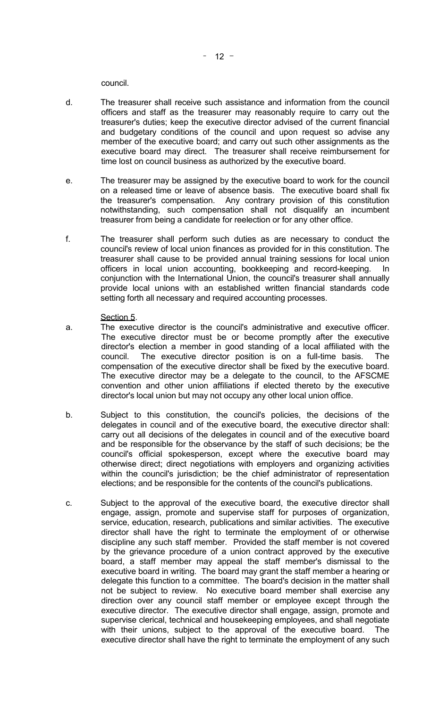council.

- d. The treasurer shall receive such assistance and information from the council officers and staff as the treasurer may reasonably require to carry out the treasurer's duties; keep the executive director advised of the current financial and budgetary conditions of the council and upon request so advise any member of the executive board; and carry out such other assignments as the executive board may direct. The treasurer shall receive reimbursement for time lost on council business as authorized by the executive board.
- e. The treasurer may be assigned by the executive board to work for the council on a released time or leave of absence basis. The executive board shall fix the treasurer's compensation. Any contrary provision of this constitution notwithstanding, such compensation shall not disqualify an incumbent treasurer from being a candidate for reelection or for any other office.
- f. The treasurer shall perform such duties as are necessary to conduct the council's review of local union finances as provided for in this constitution. The treasurer shall cause to be provided annual training sessions for local union officers in local union accounting, bookkeeping and record-keeping. In conjunction with the International Union, the council's treasurer shall annually provide local unions with an established written financial standards code setting forth all necessary and required accounting processes.

#### Section 5.

- a. The executive director is the council's administrative and executive officer. The executive director must be or become promptly after the executive director's election a member in good standing of a local affiliated with the council. The executive director position is on a full-time basis. The compensation of the executive director shall be fixed by the executive board. The executive director may be a delegate to the council, to the AFSCME convention and other union affiliations if elected thereto by the executive director's local union but may not occupy any other local union office.
- b. Subject to this constitution, the council's policies, the decisions of the delegates in council and of the executive board, the executive director shall: carry out all decisions of the delegates in council and of the executive board and be responsible for the observance by the staff of such decisions; be the council's official spokesperson, except where the executive board may otherwise direct; direct negotiations with employers and organizing activities within the council's jurisdiction; be the chief administrator of representation elections; and be responsible for the contents of the council's publications.
- c. Subject to the approval of the executive board, the executive director shall engage, assign, promote and supervise staff for purposes of organization, service, education, research, publications and similar activities. The executive director shall have the right to terminate the employment of or otherwise discipline any such staff member. Provided the staff member is not covered by the grievance procedure of a union contract approved by the executive board, a staff member may appeal the staff member's dismissal to the executive board in writing. The board may grant the staff member a hearing or delegate this function to a committee. The board's decision in the matter shall not be subject to review. No executive board member shall exercise any direction over any council staff member or employee except through the executive director. The executive director shall engage, assign, promote and supervise clerical, technical and housekeeping employees, and shall negotiate with their unions, subject to the approval of the executive board. The executive director shall have the right to terminate the employment of any such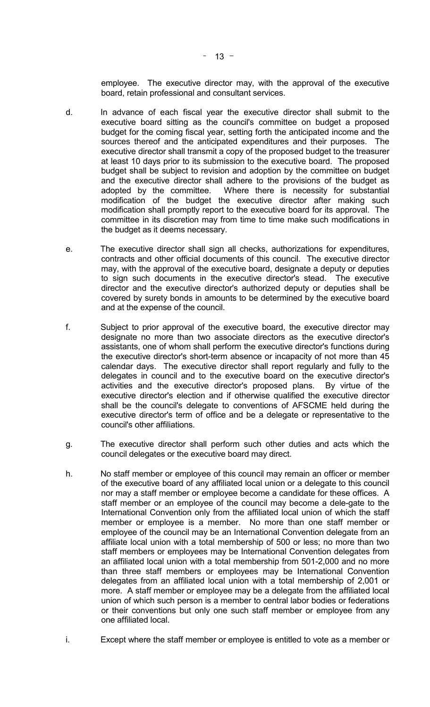employee. The executive director may, with the approval of the executive board, retain professional and consultant services.

- d. In advance of each fiscal year the executive director shall submit to the executive board sitting as the council's committee on budget a proposed budget for the coming fiscal year, setting forth the anticipated income and the sources thereof and the anticipated expenditures and their purposes. The executive director shall transmit a copy of the proposed budget to the treasurer at least 10 days prior to its submission to the executive board. The proposed budget shall be subject to revision and adoption by the committee on budget and the executive director shall adhere to the provisions of the budget as adopted by the committee. Where there is necessity for substantial modification of the budget the executive director after making such modification shall promptly report to the executive board for its approval. The committee in its discretion may from time to time make such modifications in the budget as it deems necessary.
- e. The executive director shall sign all checks, authorizations for expenditures, contracts and other official documents of this council. The executive director may, with the approval of the executive board, designate a deputy or deputies to sign such documents in the executive director's stead. The executive director and the executive director's authorized deputy or deputies shall be covered by surety bonds in amounts to be determined by the executive board and at the expense of the council.
- f. Subject to prior approval of the executive board, the executive director may designate no more than two associate directors as the executive director's assistants, one of whom shall perform the executive director's functions during the executive director's short-term absence or incapacity of not more than 45 calendar days. The executive director shall report regularly and fully to the delegates in council and to the executive board on the executive director's activities and the executive director's proposed plans. By virtue of the executive director's election and if otherwise qualified the executive director shall be the council's delegate to conventions of AFSCME held during the executive director's term of office and be a delegate or representative to the council's other affiliations.
- g. The executive director shall perform such other duties and acts which the council delegates or the executive board may direct.
- h. No staff member or employee of this council may remain an officer or member of the executive board of any affiliated local union or a delegate to this council nor may a staff member or employee become a candidate for these offices. A staff member or an employee of the council may become a dele-gate to the International Convention only from the affiliated local union of which the staff member or employee is a member. No more than one staff member or employee of the council may be an International Convention delegate from an affiliate local union with a total membership of 500 or less; no more than two staff members or employees may be International Convention delegates from an affiliated local union with a total membership from 501-2,000 and no more than three staff members or employees may be International Convention delegates from an affiliated local union with a total membership of 2,001 or more. A staff member or employee may be a delegate from the affiliated local union of which such person is a member to central labor bodies or federations or their conventions but only one such staff member or employee from any one affiliated local.
- i. Except where the staff member or employee is entitled to vote as a member or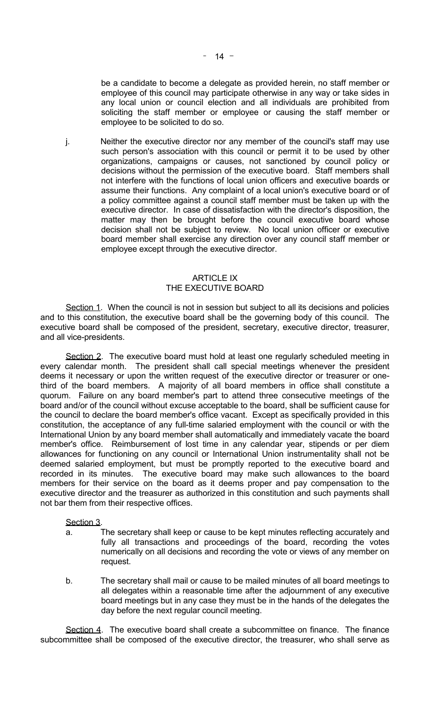be a candidate to become a delegate as provided herein, no staff member or employee of this council may participate otherwise in any way or take sides in any local union or council election and all individuals are prohibited from soliciting the staff member or employee or causing the staff member or employee to be solicited to do so.

 j. Neither the executive director nor any member of the council's staff may use such person's association with this council or permit it to be used by other organizations, campaigns or causes, not sanctioned by council policy or decisions without the permission of the executive board. Staff members shall not interfere with the functions of local union officers and executive boards or assume their functions. Any complaint of a local union's executive board or of a policy committee against a council staff member must be taken up with the executive director. In case of dissatisfaction with the director's disposition, the matter may then be brought before the council executive board whose decision shall not be subject to review. No local union officer or executive board member shall exercise any direction over any council staff member or employee except through the executive director.

### ARTICLE IX THE EXECUTIVE BOARD

Section 1. When the council is not in session but subject to all its decisions and policies and to this constitution, the executive board shall be the governing body of this council. The executive board shall be composed of the president, secretary, executive director, treasurer, and all vice-presidents.

Section 2. The executive board must hold at least one regularly scheduled meeting in every calendar month. The president shall call special meetings whenever the president deems it necessary or upon the written request of the executive director or treasurer or onethird of the board members. A majority of all board members in office shall constitute a quorum. Failure on any board member's part to attend three consecutive meetings of the board and/or of the council without excuse acceptable to the board, shall be sufficient cause for the council to declare the board member's office vacant. Except as specifically provided in this constitution, the acceptance of any full-time salaried employment with the council or with the International Union by any board member shall automatically and immediately vacate the board member's office. Reimbursement of lost time in any calendar year, stipends or per diem allowances for functioning on any council or International Union instrumentality shall not be deemed salaried employment, but must be promptly reported to the executive board and recorded in its minutes. The executive board may make such allowances to the board members for their service on the board as it deems proper and pay compensation to the executive director and the treasurer as authorized in this constitution and such payments shall not bar them from their respective offices.

#### Section 3.

- a. The secretary shall keep or cause to be kept minutes reflecting accurately and fully all transactions and proceedings of the board, recording the votes numerically on all decisions and recording the vote or views of any member on request.
- b. The secretary shall mail or cause to be mailed minutes of all board meetings to all delegates within a reasonable time after the adjournment of any executive board meetings but in any case they must be in the hands of the delegates the day before the next regular council meeting.

 Section 4. The executive board shall create a subcommittee on finance. The finance subcommittee shall be composed of the executive director, the treasurer, who shall serve as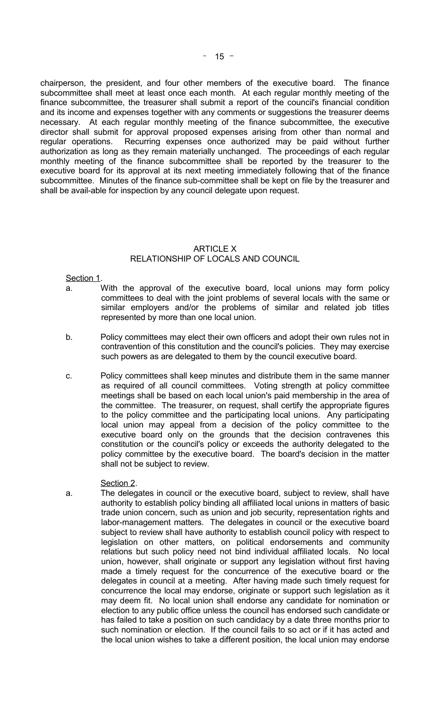chairperson, the president, and four other members of the executive board. The finance subcommittee shall meet at least once each month. At each regular monthly meeting of the finance subcommittee, the treasurer shall submit a report of the council's financial condition and its income and expenses together with any comments or suggestions the treasurer deems necessary. At each regular monthly meeting of the finance subcommittee, the executive director shall submit for approval proposed expenses arising from other than normal and regular operations. Recurring expenses once authorized may be paid without further authorization as long as they remain materially unchanged. The proceedings of each regular monthly meeting of the finance subcommittee shall be reported by the treasurer to the executive board for its approval at its next meeting immediately following that of the finance subcommittee. Minutes of the finance sub-committee shall be kept on file by the treasurer and shall be avail-able for inspection by any council delegate upon request.

## ARTICLE X RELATIONSHIP OF LOCALS AND COUNCIL

#### Section 1.

- a. With the approval of the executive board, local unions may form policy committees to deal with the joint problems of several locals with the same or similar employers and/or the problems of similar and related job titles represented by more than one local union.
- b. Policy committees may elect their own officers and adopt their own rules not in contravention of this constitution and the council's policies. They may exercise such powers as are delegated to them by the council executive board.
- c. Policy committees shall keep minutes and distribute them in the same manner as required of all council committees. Voting strength at policy committee meetings shall be based on each local union's paid membership in the area of the committee. The treasurer, on request, shall certify the appropriate figures to the policy committee and the participating local unions. Any participating local union may appeal from a decision of the policy committee to the executive board only on the grounds that the decision contravenes this constitution or the council's policy or exceeds the authority delegated to the policy committee by the executive board. The board's decision in the matter shall not be subject to review.

#### Section 2.

 a. The delegates in council or the executive board, subject to review, shall have authority to establish policy binding all affiliated local unions in matters of basic trade union concern, such as union and job security, representation rights and labor-management matters. The delegates in council or the executive board subject to review shall have authority to establish council policy with respect to legislation on other matters, on political endorsements and community relations but such policy need not bind individual affiliated locals. No local union, however, shall originate or support any legislation without first having made a timely request for the concurrence of the executive board or the delegates in council at a meeting. After having made such timely request for concurrence the local may endorse, originate or support such legislation as it may deem fit. No local union shall endorse any candidate for nomination or election to any public office unless the council has endorsed such candidate or has failed to take a position on such candidacy by a date three months prior to such nomination or election. If the council fails to so act or if it has acted and the local union wishes to take a different position, the local union may endorse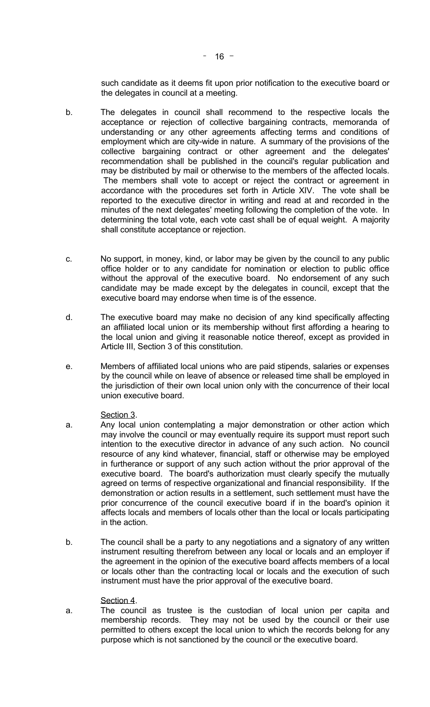such candidate as it deems fit upon prior notification to the executive board or the delegates in council at a meeting.

- b. The delegates in council shall recommend to the respective locals the acceptance or rejection of collective bargaining contracts, memoranda of understanding or any other agreements affecting terms and conditions of employment which are city-wide in nature. A summary of the provisions of the collective bargaining contract or other agreement and the delegates' recommendation shall be published in the council's regular publication and may be distributed by mail or otherwise to the members of the affected locals. The members shall vote to accept or reject the contract or agreement in accordance with the procedures set forth in Article XIV. The vote shall be reported to the executive director in writing and read at and recorded in the minutes of the next delegates' meeting following the completion of the vote. In determining the total vote, each vote cast shall be of equal weight. A majority shall constitute acceptance or rejection.
- c. No support, in money, kind, or labor may be given by the council to any public office holder or to any candidate for nomination or election to public office without the approval of the executive board. No endorsement of any such candidate may be made except by the delegates in council, except that the executive board may endorse when time is of the essence.
- d. The executive board may make no decision of any kind specifically affecting an affiliated local union or its membership without first affording a hearing to the local union and giving it reasonable notice thereof, except as provided in Article III, Section 3 of this constitution.
- e. Members of affiliated local unions who are paid stipends, salaries or expenses by the council while on leave of absence or released time shall be employed in the jurisdiction of their own local union only with the concurrence of their local union executive board.

## Section 3.

- a. Any local union contemplating a major demonstration or other action which may involve the council or may eventually require its support must report such intention to the executive director in advance of any such action. No council resource of any kind whatever, financial, staff or otherwise may be employed in furtherance or support of any such action without the prior approval of the executive board. The board's authorization must clearly specify the mutually agreed on terms of respective organizational and financial responsibility. If the demonstration or action results in a settlement, such settlement must have the prior concurrence of the council executive board if in the board's opinion it affects locals and members of locals other than the local or locals participating in the action.
- b. The council shall be a party to any negotiations and a signatory of any written instrument resulting therefrom between any local or locals and an employer if the agreement in the opinion of the executive board affects members of a local or locals other than the contracting local or locals and the execution of such instrument must have the prior approval of the executive board.

## Section 4.

 a. The council as trustee is the custodian of local union per capita and membership records. They may not be used by the council or their use permitted to others except the local union to which the records belong for any purpose which is not sanctioned by the council or the executive board.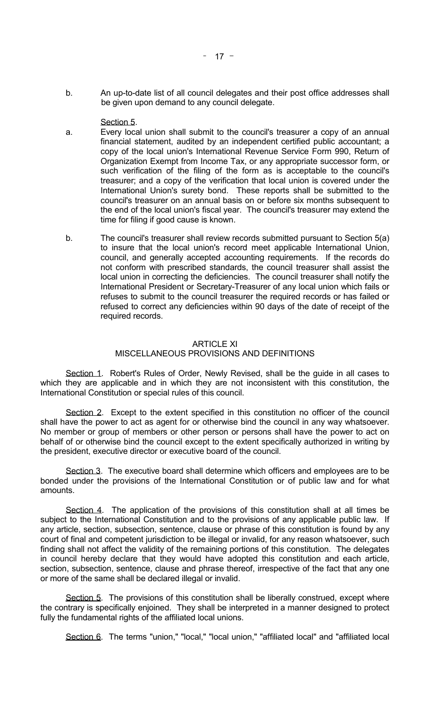b. An up-to-date list of all council delegates and their post office addresses shall be given upon demand to any council delegate.

#### Section 5.

- a. Every local union shall submit to the council's treasurer a copy of an annual financial statement, audited by an independent certified public accountant; a copy of the local union's International Revenue Service Form 990, Return of Organization Exempt from Income Tax, or any appropriate successor form, or such verification of the filing of the form as is acceptable to the council's treasurer; and a copy of the verification that local union is covered under the International Union's surety bond. These reports shall be submitted to the council's treasurer on an annual basis on or before six months subsequent to the end of the local union's fiscal year. The council's treasurer may extend the time for filing if good cause is known.
- b. The council's treasurer shall review records submitted pursuant to Section 5(a) to insure that the local union's record meet applicable International Union, council, and generally accepted accounting requirements. If the records do not conform with prescribed standards, the council treasurer shall assist the local union in correcting the deficiencies. The council treasurer shall notify the International President or Secretary-Treasurer of any local union which fails or refuses to submit to the council treasurer the required records or has failed or refused to correct any deficiencies within 90 days of the date of receipt of the required records.

#### ARTICLE XI MISCELLANEOUS PROVISIONS AND DEFINITIONS

Section 1. Robert's Rules of Order, Newly Revised, shall be the guide in all cases to which they are applicable and in which they are not inconsistent with this constitution, the International Constitution or special rules of this council.

 Section 2. Except to the extent specified in this constitution no officer of the council shall have the power to act as agent for or otherwise bind the council in any way whatsoever. No member or group of members or other person or persons shall have the power to act on behalf of or otherwise bind the council except to the extent specifically authorized in writing by the president, executive director or executive board of the council.

 Section 3. The executive board shall determine which officers and employees are to be bonded under the provisions of the International Constitution or of public law and for what amounts.

Section 4. The application of the provisions of this constitution shall at all times be subject to the International Constitution and to the provisions of any applicable public law. If any article, section, subsection, sentence, clause or phrase of this constitution is found by any court of final and competent jurisdiction to be illegal or invalid, for any reason whatsoever, such finding shall not affect the validity of the remaining portions of this constitution. The delegates in council hereby declare that they would have adopted this constitution and each article, section, subsection, sentence, clause and phrase thereof, irrespective of the fact that any one or more of the same shall be declared illegal or invalid.

Section 5. The provisions of this constitution shall be liberally construed, except where the contrary is specifically enjoined. They shall be interpreted in a manner designed to protect fully the fundamental rights of the affiliated local unions.

Section 6. The terms "union," "local," "local union," "affiliated local" and "affiliated local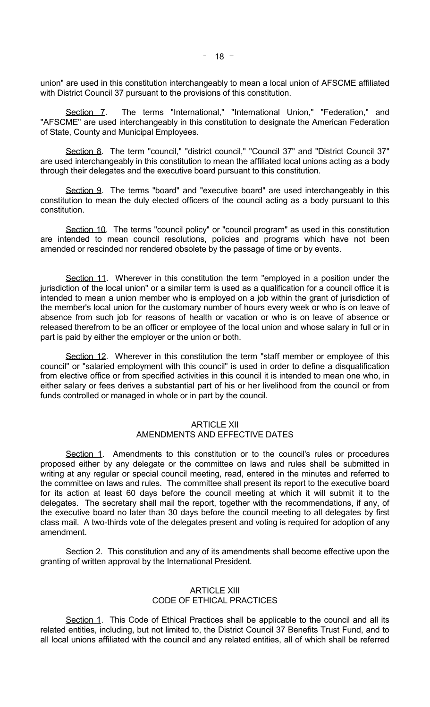union" are used in this constitution interchangeably to mean a local union of AFSCME affiliated with District Council 37 pursuant to the provisions of this constitution.

Section 7. The terms "International," "International Union," "Federation," and "AFSCME" are used interchangeably in this constitution to designate the American Federation of State, County and Municipal Employees.

 Section 8. The term "council," "district council," "Council 37" and "District Council 37" are used interchangeably in this constitution to mean the affiliated local unions acting as a body through their delegates and the executive board pursuant to this constitution.

Section 9. The terms "board" and "executive board" are used interchangeably in this constitution to mean the duly elected officers of the council acting as a body pursuant to this constitution.

 Section 10. The terms "council policy" or "council program" as used in this constitution are intended to mean council resolutions, policies and programs which have not been amended or rescinded nor rendered obsolete by the passage of time or by events.

Section 11. Wherever in this constitution the term "employed in a position under the jurisdiction of the local union" or a similar term is used as a qualification for a council office it is intended to mean a union member who is employed on a job within the grant of jurisdiction of the member's local union for the customary number of hours every week or who is on leave of absence from such job for reasons of health or vacation or who is on leave of absence or released therefrom to be an officer or employee of the local union and whose salary in full or in part is paid by either the employer or the union or both.

Section 12. Wherever in this constitution the term "staff member or employee of this council" or "salaried employment with this council" is used in order to define a disqualification from elective office or from specified activities in this council it is intended to mean one who, in either salary or fees derives a substantial part of his or her livelihood from the council or from funds controlled or managed in whole or in part by the council.

# ARTICLE XII

## AMENDMENTS AND EFFECTIVE DATES

Section 1. Amendments to this constitution or to the council's rules or procedures proposed either by any delegate or the committee on laws and rules shall be submitted in writing at any regular or special council meeting, read, entered in the minutes and referred to the committee on laws and rules. The committee shall present its report to the executive board for its action at least 60 days before the council meeting at which it will submit it to the delegates. The secretary shall mail the report, together with the recommendations, if any, of the executive board no later than 30 days before the council meeting to all delegates by first class mail. A two-thirds vote of the delegates present and voting is required for adoption of any amendment.

Section 2. This constitution and any of its amendments shall become effective upon the granting of written approval by the International President.

## ARTICLE XIII CODE OF ETHICAL PRACTICES

Section 1. This Code of Ethical Practices shall be applicable to the council and all its related entities, including, but not limited to, the District Council 37 Benefits Trust Fund, and to all local unions affiliated with the council and any related entities, all of which shall be referred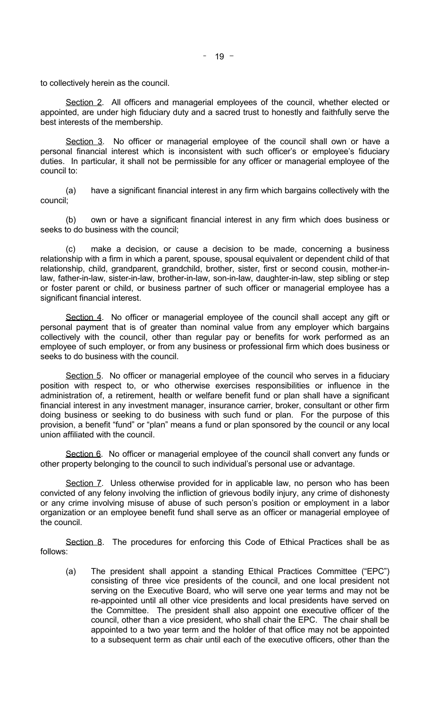to collectively herein as the council.

Section 2. All officers and managerial employees of the council, whether elected or appointed, are under high fiduciary duty and a sacred trust to honestly and faithfully serve the best interests of the membership.

Section 3. No officer or managerial employee of the council shall own or have a personal financial interest which is inconsistent with such officer's or employee's fiduciary duties. In particular, it shall not be permissible for any officer or managerial employee of the council to:

 (a) have a significant financial interest in any firm which bargains collectively with the council;

 (b) own or have a significant financial interest in any firm which does business or seeks to do business with the council;

 (c) make a decision, or cause a decision to be made, concerning a business relationship with a firm in which a parent, spouse, spousal equivalent or dependent child of that relationship, child, grandparent, grandchild, brother, sister, first or second cousin, mother-inlaw, father-in-law, sister-in-law, brother-in-law, son-in-law, daughter-in-law, step sibling or step or foster parent or child, or business partner of such officer or managerial employee has a significant financial interest.

Section 4. No officer or managerial employee of the council shall accept any gift or personal payment that is of greater than nominal value from any employer which bargains collectively with the council, other than regular pay or benefits for work performed as an employee of such employer, or from any business or professional firm which does business or seeks to do business with the council.

Section 5. No officer or managerial employee of the council who serves in a fiduciary position with respect to, or who otherwise exercises responsibilities or influence in the administration of, a retirement, health or welfare benefit fund or plan shall have a significant financial interest in any investment manager, insurance carrier, broker, consultant or other firm doing business or seeking to do business with such fund or plan. For the purpose of this provision, a benefit "fund" or "plan" means a fund or plan sponsored by the council or any local union affiliated with the council.

Section 6. No officer or managerial employee of the council shall convert any funds or other property belonging to the council to such individual's personal use or advantage.

Section 7. Unless otherwise provided for in applicable law, no person who has been convicted of any felony involving the infliction of grievous bodily injury, any crime of dishonesty or any crime involving misuse of abuse of such person's position or employment in a labor organization or an employee benefit fund shall serve as an officer or managerial employee of the council.

Section 8. The procedures for enforcing this Code of Ethical Practices shall be as follows:

(a) The president shall appoint a standing Ethical Practices Committee ("EPC") consisting of three vice presidents of the council, and one local president not serving on the Executive Board, who will serve one year terms and may not be re-appointed until all other vice presidents and local presidents have served on the Committee. The president shall also appoint one executive officer of the council, other than a vice president, who shall chair the EPC. The chair shall be appointed to a two year term and the holder of that office may not be appointed to a subsequent term as chair until each of the executive officers, other than the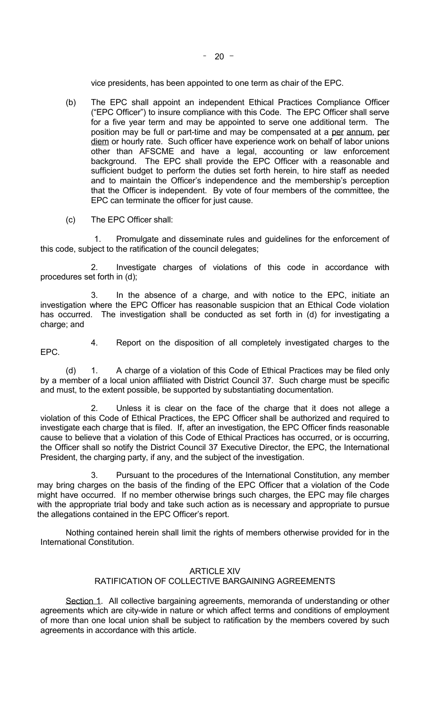vice presidents, has been appointed to one term as chair of the EPC.

- (b) The EPC shall appoint an independent Ethical Practices Compliance Officer ("EPC Officer") to insure compliance with this Code. The EPC Officer shall serve for a five year term and may be appointed to serve one additional term. The position may be full or part-time and may be compensated at a per annum, per diem or hourly rate. Such officer have experience work on behalf of labor unions other than AFSCME and have a legal, accounting or law enforcement background. The EPC shall provide the EPC Officer with a reasonable and sufficient budget to perform the duties set forth herein, to hire staff as needed and to maintain the Officer's independence and the membership's perception that the Officer is independent. By vote of four members of the committee, the EPC can terminate the officer for just cause.
- (c) The EPC Officer shall:

1. Promulgate and disseminate rules and guidelines for the enforcement of this code, subject to the ratification of the council delegates;

 2. Investigate charges of violations of this code in accordance with procedures set forth in (d);

 3. In the absence of a charge, and with notice to the EPC, initiate an investigation where the EPC Officer has reasonable suspicion that an Ethical Code violation has occurred. The investigation shall be conducted as set forth in (d) for investigating a charge; and

- EPC.
- 4. Report on the disposition of all completely investigated charges to the

(d) 1. A charge of a violation of this Code of Ethical Practices may be filed only by a member of a local union affiliated with District Council 37. Such charge must be specific and must, to the extent possible, be supported by substantiating documentation.

2. Unless it is clear on the face of the charge that it does not allege a violation of this Code of Ethical Practices, the EPC Officer shall be authorized and required to investigate each charge that is filed. If, after an investigation, the EPC Officer finds reasonable cause to believe that a violation of this Code of Ethical Practices has occurred, or is occurring, the Officer shall so notify the District Council 37 Executive Director, the EPC, the International President, the charging party, if any, and the subject of the investigation.

3. Pursuant to the procedures of the International Constitution, any member may bring charges on the basis of the finding of the EPC Officer that a violation of the Code might have occurred. If no member otherwise brings such charges, the EPC may file charges with the appropriate trial body and take such action as is necessary and appropriate to pursue the allegations contained in the EPC Officer's report.

 Nothing contained herein shall limit the rights of members otherwise provided for in the International Constitution.

## ARTICLE XIV RATIFICATION OF COLLECTIVE BARGAINING AGREEMENTS

Section 1. All collective bargaining agreements, memoranda of understanding or other agreements which are city-wide in nature or which affect terms and conditions of employment of more than one local union shall be subject to ratification by the members covered by such agreements in accordance with this article.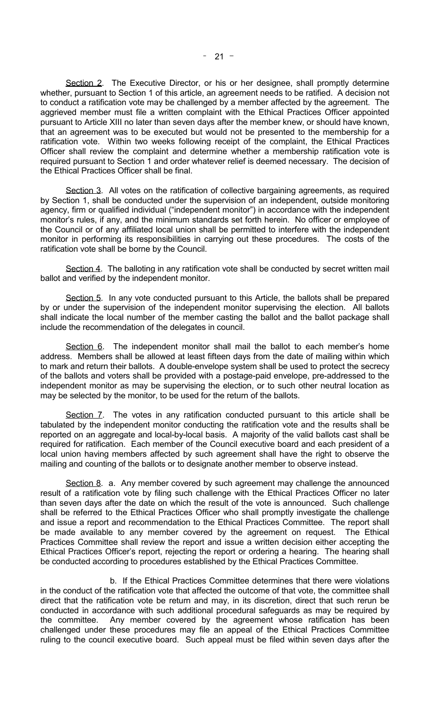Section 2. The Executive Director, or his or her designee, shall promptly determine whether, pursuant to Section 1 of this article, an agreement needs to be ratified. A decision not to conduct a ratification vote may be challenged by a member affected by the agreement. The aggrieved member must file a written complaint with the Ethical Practices Officer appointed pursuant to Article XIII no later than seven days after the member knew, or should have known, that an agreement was to be executed but would not be presented to the membership for a ratification vote. Within two weeks following receipt of the complaint, the Ethical Practices Officer shall review the complaint and determine whether a membership ratification vote is required pursuant to Section 1 and order whatever relief is deemed necessary. The decision of the Ethical Practices Officer shall be final.

Section 3. All votes on the ratification of collective bargaining agreements, as required by Section 1, shall be conducted under the supervision of an independent, outside monitoring agency, firm or qualified individual ("independent monitor") in accordance with the independent monitor's rules, if any, and the minimum standards set forth herein. No officer or employee of the Council or of any affiliated local union shall be permitted to interfere with the independent monitor in performing its responsibilities in carrying out these procedures. The costs of the ratification vote shall be borne by the Council.

Section 4. The balloting in any ratification vote shall be conducted by secret written mail ballot and verified by the independent monitor.

Section 5. In any vote conducted pursuant to this Article, the ballots shall be prepared by or under the supervision of the independent monitor supervising the election. All ballots shall indicate the local number of the member casting the ballot and the ballot package shall include the recommendation of the delegates in council.

Section 6. The independent monitor shall mail the ballot to each member's home address. Members shall be allowed at least fifteen days from the date of mailing within which to mark and return their ballots. A double-envelope system shall be used to protect the secrecy of the ballots and voters shall be provided with a postage-paid envelope, pre-addressed to the independent monitor as may be supervising the election, or to such other neutral location as may be selected by the monitor, to be used for the return of the ballots.

Section 7. The votes in any ratification conducted pursuant to this article shall be tabulated by the independent monitor conducting the ratification vote and the results shall be reported on an aggregate and local-by-local basis. A majority of the valid ballots cast shall be required for ratification. Each member of the Council executive board and each president of a local union having members affected by such agreement shall have the right to observe the mailing and counting of the ballots or to designate another member to observe instead.

Section 8. a. Any member covered by such agreement may challenge the announced result of a ratification vote by filing such challenge with the Ethical Practices Officer no later than seven days after the date on which the result of the vote is announced. Such challenge shall be referred to the Ethical Practices Officer who shall promptly investigate the challenge and issue a report and recommendation to the Ethical Practices Committee. The report shall be made available to any member covered by the agreement on request. The Ethical Practices Committee shall review the report and issue a written decision either accepting the Ethical Practices Officer's report, rejecting the report or ordering a hearing. The hearing shall be conducted according to procedures established by the Ethical Practices Committee.

 b. If the Ethical Practices Committee determines that there were violations in the conduct of the ratification vote that affected the outcome of that vote, the committee shall direct that the ratification vote be return and may, in its discretion, direct that such rerun be conducted in accordance with such additional procedural safeguards as may be required by the committee. Any member covered by the agreement whose ratification has been challenged under these procedures may file an appeal of the Ethical Practices Committee ruling to the council executive board. Such appeal must be filed within seven days after the